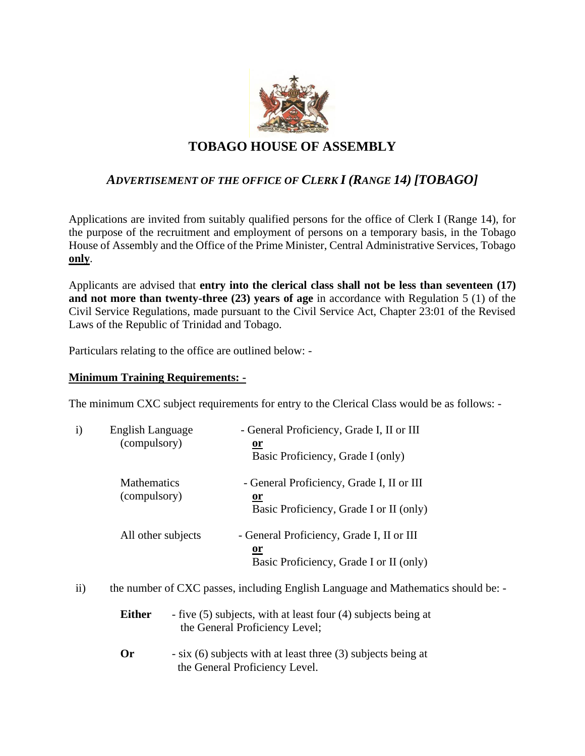

# **TOBAGO HOUSE OF ASSEMBLY**

## *ADVERTISEMENT OF THE OFFICE OF CLERK I (RANGE 14) [TOBAGO]*

Applications are invited from suitably qualified persons for the office of Clerk I (Range 14), for the purpose of the recruitment and employment of persons on a temporary basis, in the Tobago House of Assembly and the Office of the Prime Minister, Central Administrative Services, Tobago **only**.

Applicants are advised that **entry into the clerical class shall not be less than seventeen (17) and not more than twenty-three (23) years of age** in accordance with Regulation 5 (1) of the Civil Service Regulations, made pursuant to the Civil Service Act, Chapter 23:01 of the Revised Laws of the Republic of Trinidad and Tobago.

Particulars relating to the office are outlined below: -

#### **Minimum Training Requirements: -**

The minimum CXC subject requirements for entry to the Clerical Class would be as follows: -

| i) | English Language<br>(compulsory)   | - General Proficiency, Grade I, II or III<br><u>or</u><br>Basic Proficiency, Grade I (only)       |
|----|------------------------------------|---------------------------------------------------------------------------------------------------|
|    | <b>Mathematics</b><br>(compulsory) | - General Proficiency, Grade I, II or III<br><u>or</u><br>Basic Proficiency, Grade I or II (only) |
|    | All other subjects                 | - General Proficiency, Grade I, II or III<br><u>or</u><br>Basic Proficiency, Grade I or II (only) |

ii) the number of CXC passes, including English Language and Mathematics should be: -

- **Either** five (5) subjects, with at least four (4) subjects being at the General Proficiency Level;
- **Or** six (6) subjects with at least three (3) subjects being at the General Proficiency Level.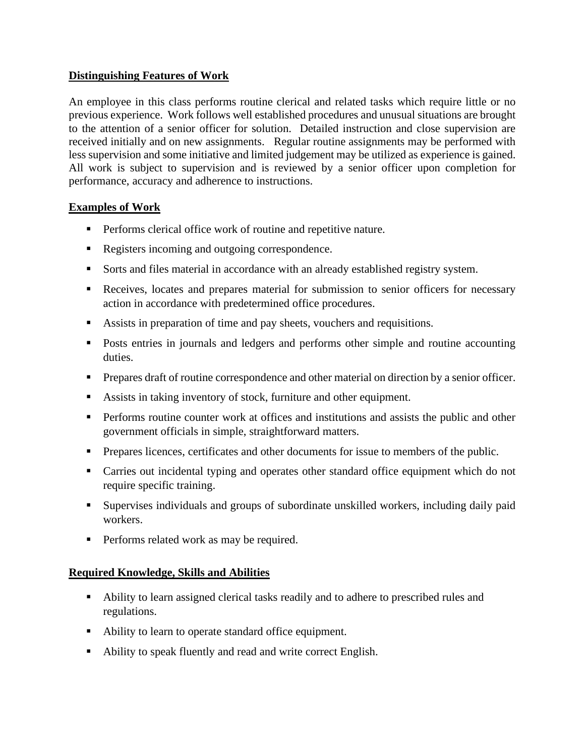### **Distinguishing Features of Work**

An employee in this class performs routine clerical and related tasks which require little or no previous experience. Work follows well established procedures and unusual situations are brought to the attention of a senior officer for solution. Detailed instruction and close supervision are received initially and on new assignments. Regular routine assignments may be performed with less supervision and some initiative and limited judgement may be utilized as experience is gained. All work is subject to supervision and is reviewed by a senior officer upon completion for performance, accuracy and adherence to instructions.

### **Examples of Work**

- Performs clerical office work of routine and repetitive nature.
- Registers incoming and outgoing correspondence.
- Sorts and files material in accordance with an already established registry system.
- Receives, locates and prepares material for submission to senior officers for necessary action in accordance with predetermined office procedures.
- Assists in preparation of time and pay sheets, vouchers and requisitions.
- Posts entries in journals and ledgers and performs other simple and routine accounting duties.
- **•** Prepares draft of routine correspondence and other material on direction by a senior officer.
- Assists in taking inventory of stock, furniture and other equipment.
- **•** Performs routine counter work at offices and institutions and assists the public and other government officials in simple, straightforward matters.
- **•** Prepares licences, certificates and other documents for issue to members of the public.
- Carries out incidental typing and operates other standard office equipment which do not require specific training.
- Supervises individuals and groups of subordinate unskilled workers, including daily paid workers.
- **•** Performs related work as may be required.

### **Required Knowledge, Skills and Abilities**

- Ability to learn assigned clerical tasks readily and to adhere to prescribed rules and regulations.
- Ability to learn to operate standard office equipment.
- Ability to speak fluently and read and write correct English.